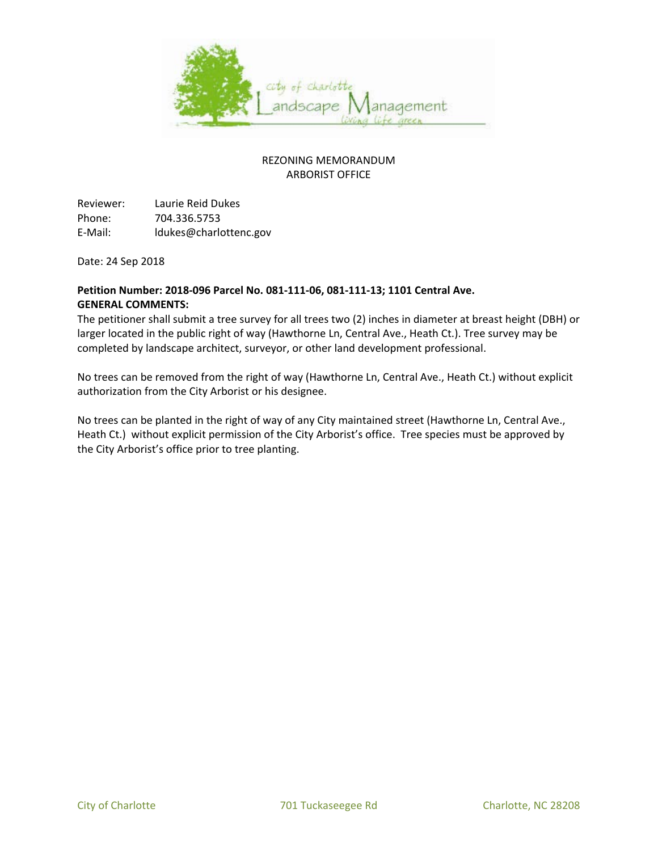

Reviewer: Laurie Reid Dukes Phone: 704.336.5753 E-Mail: ldukes@charlottenc.gov

Date: 24 Sep 2018

### **Petition Number: 2018-096 Parcel No. 081-111-06, 081-111-13; 1101 Central Ave. GENERAL COMMENTS:**

The petitioner shall submit a tree survey for all trees two (2) inches in diameter at breast height (DBH) or larger located in the public right of way (Hawthorne Ln, Central Ave., Heath Ct.). Tree survey may be completed by landscape architect, surveyor, or other land development professional.

No trees can be removed from the right of way (Hawthorne Ln, Central Ave., Heath Ct.) without explicit authorization from the City Arborist or his designee.

No trees can be planted in the right of way of any City maintained street (Hawthorne Ln, Central Ave., Heath Ct.) without explicit permission of the City Arborist's office. Tree species must be approved by the City Arborist's office prior to tree planting.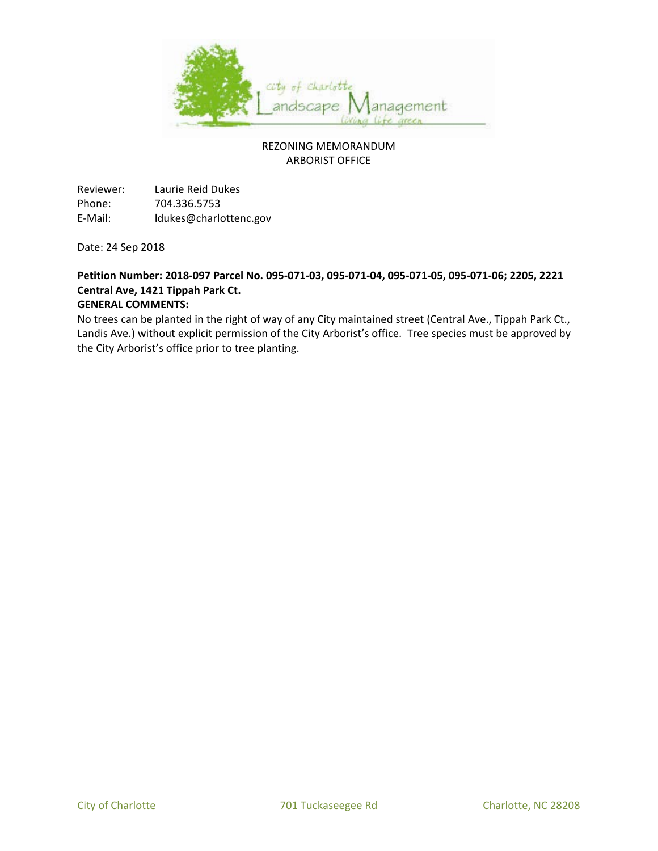

Reviewer: Laurie Reid Dukes Phone: 704.336.5753 E-Mail: ldukes@charlottenc.gov

Date: 24 Sep 2018

# **Petition Number: 2018-097 Parcel No. 095-071-03, 095-071-04, 095-071-05, 095-071-06; 2205, 2221 Central Ave, 1421 Tippah Park Ct.**

### **GENERAL COMMENTS:**

No trees can be planted in the right of way of any City maintained street (Central Ave., Tippah Park Ct., Landis Ave.) without explicit permission of the City Arborist's office. Tree species must be approved by the City Arborist's office prior to tree planting.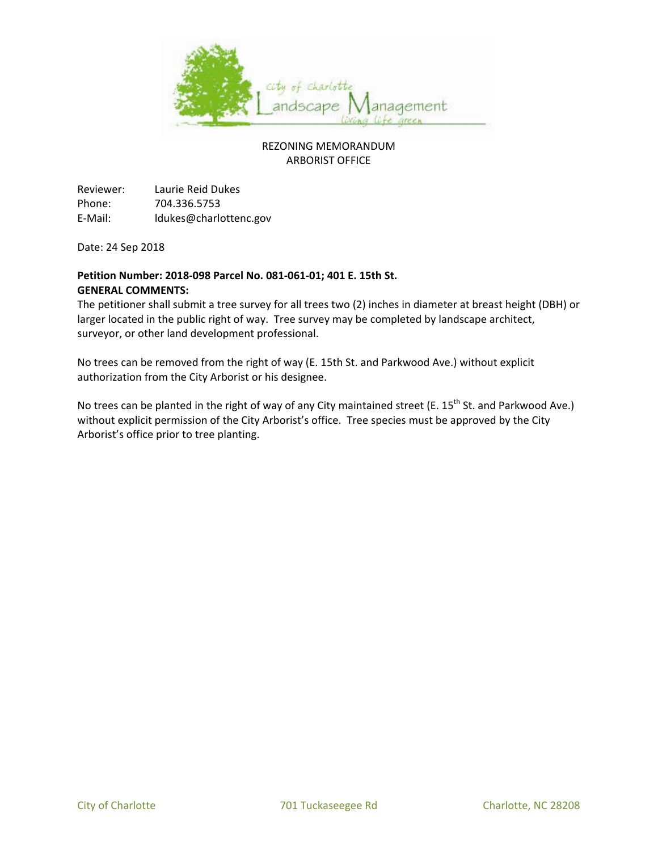

Reviewer: Laurie Reid Dukes Phone: 704.336.5753 E-Mail: ldukes@charlottenc.gov

Date: 24 Sep 2018

### **Petition Number: 2018-098 Parcel No. 081-061-01; 401 E. 15th St. GENERAL COMMENTS:**

The petitioner shall submit a tree survey for all trees two (2) inches in diameter at breast height (DBH) or larger located in the public right of way. Tree survey may be completed by landscape architect, surveyor, or other land development professional.

No trees can be removed from the right of way (E. 15th St. and Parkwood Ave.) without explicit authorization from the City Arborist or his designee.

No trees can be planted in the right of way of any City maintained street (E.  $15^{th}$  St. and Parkwood Ave.) without explicit permission of the City Arborist's office. Tree species must be approved by the City Arborist's office prior to tree planting.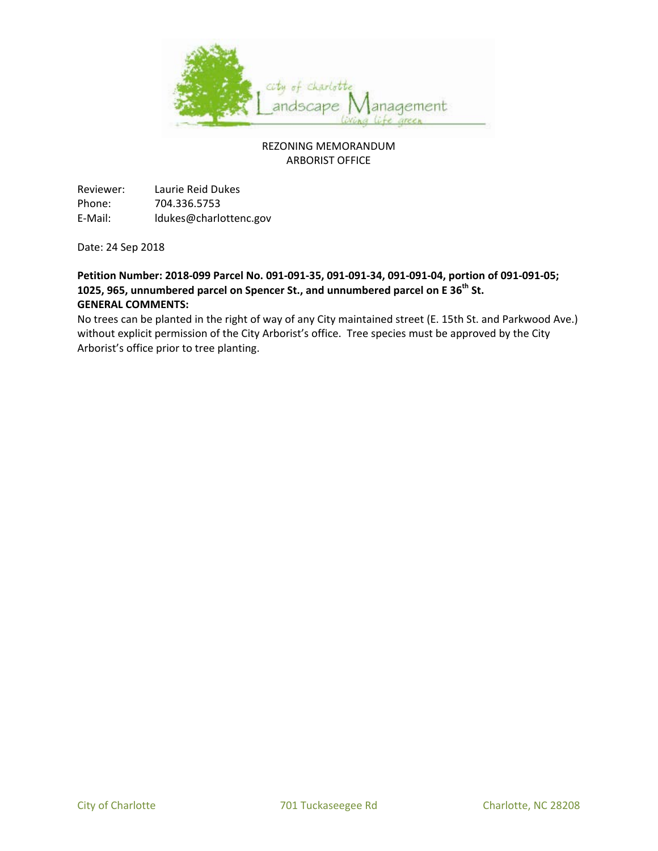

Reviewer: Laurie Reid Dukes Phone: 704.336.5753 E-Mail: ldukes@charlottenc.gov

Date: 24 Sep 2018

## **Petition Number: 2018-099 Parcel No. 091-091-35, 091-091-34, 091-091-04, portion of 091-091-05; 1025, 965, unnumbered parcel on Spencer St., and unnumbered parcel on E 36th St. GENERAL COMMENTS:**

No trees can be planted in the right of way of any City maintained street (E. 15th St. and Parkwood Ave.) without explicit permission of the City Arborist's office. Tree species must be approved by the City Arborist's office prior to tree planting.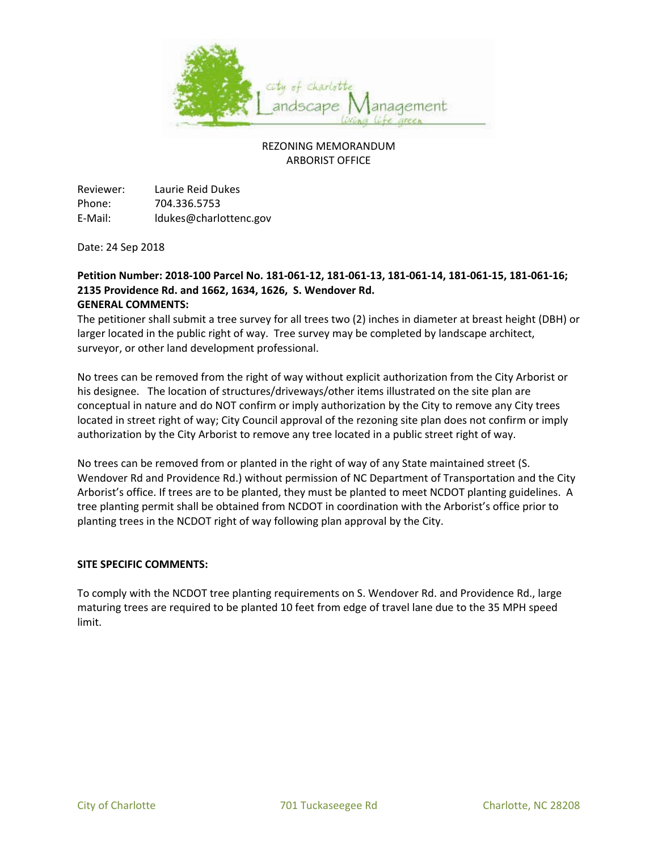

Reviewer: Laurie Reid Dukes Phone: 704.336.5753 E-Mail: ldukes@charlottenc.gov

Date: 24 Sep 2018

#### **Petition Number: 2018-100 Parcel No. 181-061-12, 181-061-13, 181-061-14, 181-061-15, 181-061-16; 2135 Providence Rd. and 1662, 1634, 1626, S. Wendover Rd. GENERAL COMMENTS:**

The petitioner shall submit a tree survey for all trees two (2) inches in diameter at breast height (DBH) or larger located in the public right of way. Tree survey may be completed by landscape architect, surveyor, or other land development professional.

No trees can be removed from the right of way without explicit authorization from the City Arborist or his designee. The location of structures/driveways/other items illustrated on the site plan are conceptual in nature and do NOT confirm or imply authorization by the City to remove any City trees located in street right of way; City Council approval of the rezoning site plan does not confirm or imply authorization by the City Arborist to remove any tree located in a public street right of way.

No trees can be removed from or planted in the right of way of any State maintained street (S. Wendover Rd and Providence Rd.) without permission of NC Department of Transportation and the City Arborist's office. If trees are to be planted, they must be planted to meet NCDOT planting guidelines. A tree planting permit shall be obtained from NCDOT in coordination with the Arborist's office prior to planting trees in the NCDOT right of way following plan approval by the City.

#### **SITE SPECIFIC COMMENTS:**

To comply with the NCDOT tree planting requirements on S. Wendover Rd. and Providence Rd., large maturing trees are required to be planted 10 feet from edge of travel lane due to the 35 MPH speed limit.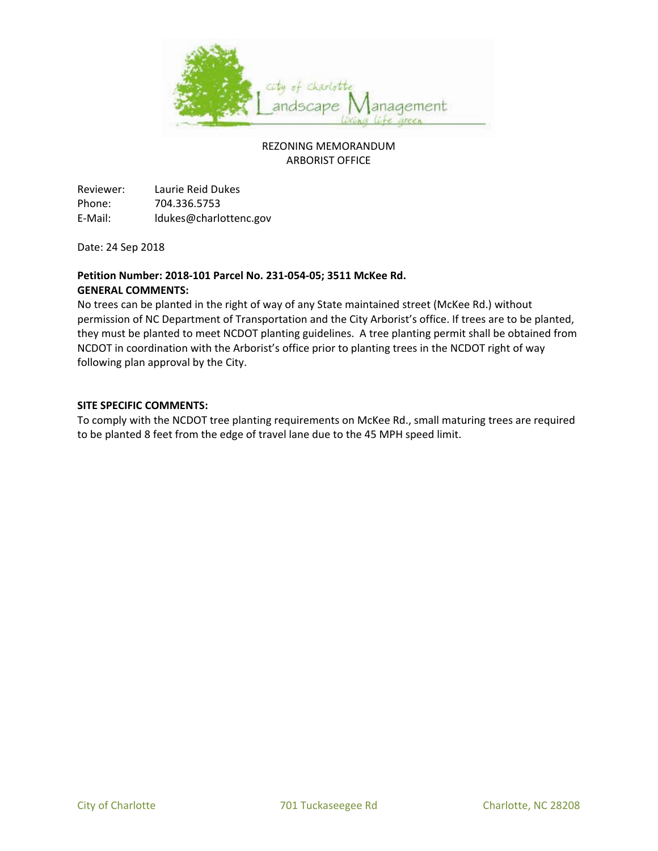

Reviewer: Laurie Reid Dukes Phone: 704.336.5753 E-Mail: ldukes@charlottenc.gov

Date: 24 Sep 2018

### **Petition Number: 2018-101 Parcel No. 231-054-05; 3511 McKee Rd. GENERAL COMMENTS:**

No trees can be planted in the right of way of any State maintained street (McKee Rd.) without permission of NC Department of Transportation and the City Arborist's office. If trees are to be planted, they must be planted to meet NCDOT planting guidelines. A tree planting permit shall be obtained from NCDOT in coordination with the Arborist's office prior to planting trees in the NCDOT right of way following plan approval by the City.

#### **SITE SPECIFIC COMMENTS:**

To comply with the NCDOT tree planting requirements on McKee Rd., small maturing trees are required to be planted 8 feet from the edge of travel lane due to the 45 MPH speed limit.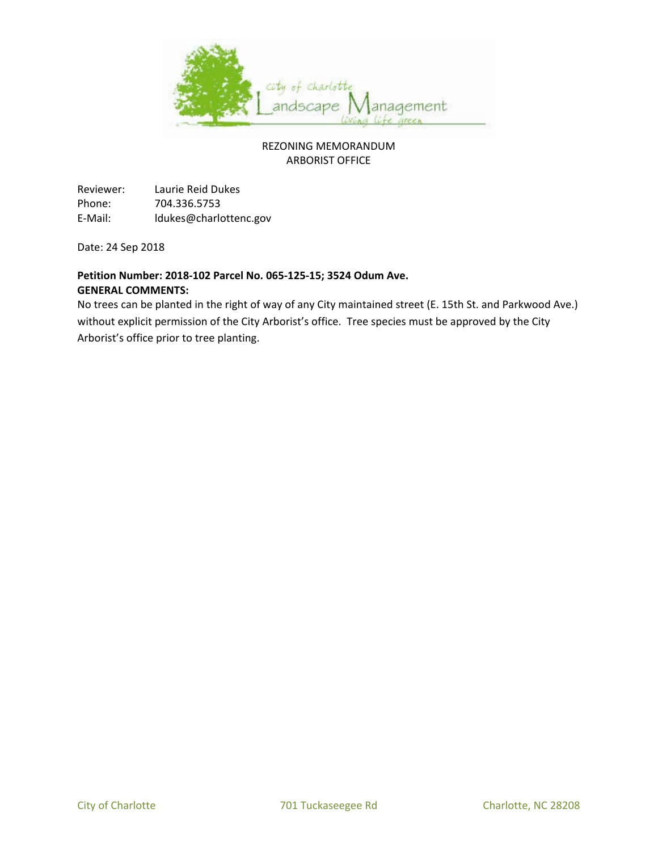

Reviewer: Laurie Reid Dukes Phone: 704.336.5753 E-Mail: ldukes@charlottenc.gov

Date: 24 Sep 2018

#### **Petition Number: 2018-102 Parcel No. 065-125-15; 3524 Odum Ave. GENERAL COMMENTS:**

No trees can be planted in the right of way of any City maintained street (E. 15th St. and Parkwood Ave.) without explicit permission of the City Arborist's office. Tree species must be approved by the City Arborist's office prior to tree planting.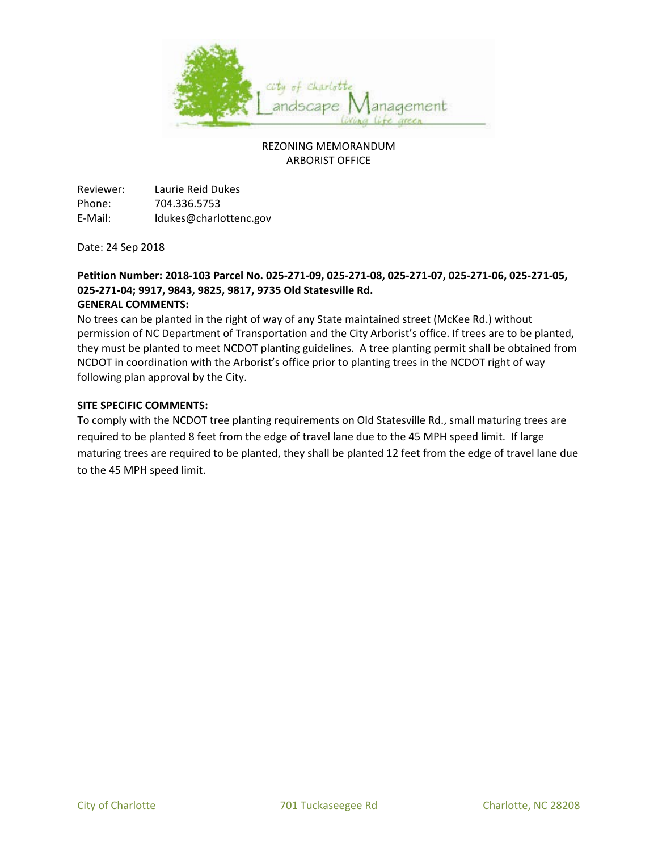

Reviewer: Laurie Reid Dukes Phone: 704.336.5753 E-Mail: ldukes@charlottenc.gov

Date: 24 Sep 2018

#### **Petition Number: 2018-103 Parcel No. 025-271-09, 025-271-08, 025-271-07, 025-271-06, 025-271-05, 025-271-04; 9917, 9843, 9825, 9817, 9735 Old Statesville Rd. GENERAL COMMENTS:**

No trees can be planted in the right of way of any State maintained street (McKee Rd.) without permission of NC Department of Transportation and the City Arborist's office. If trees are to be planted, they must be planted to meet NCDOT planting guidelines. A tree planting permit shall be obtained from NCDOT in coordination with the Arborist's office prior to planting trees in the NCDOT right of way following plan approval by the City.

#### **SITE SPECIFIC COMMENTS:**

To comply with the NCDOT tree planting requirements on Old Statesville Rd., small maturing trees are required to be planted 8 feet from the edge of travel lane due to the 45 MPH speed limit. If large maturing trees are required to be planted, they shall be planted 12 feet from the edge of travel lane due to the 45 MPH speed limit.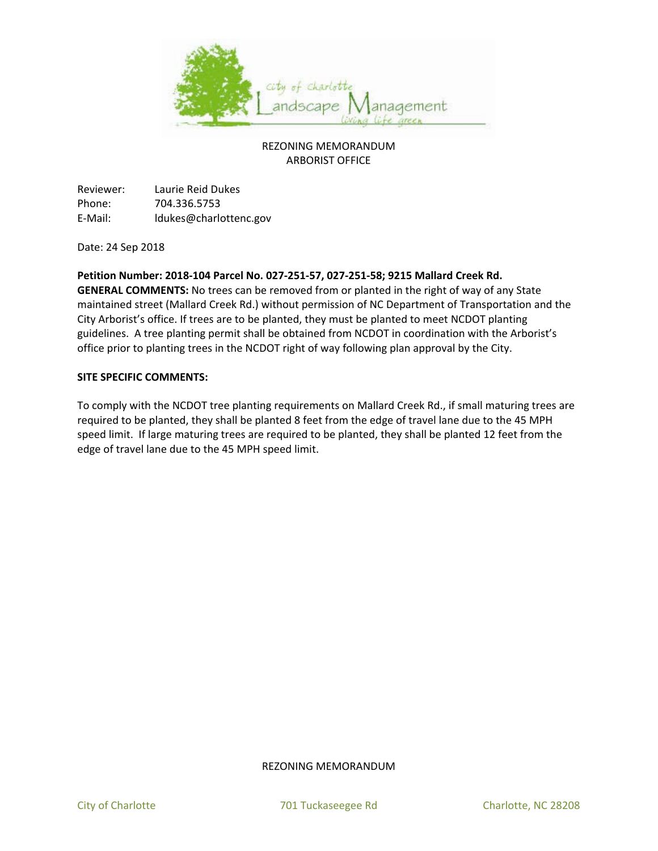

Reviewer: Laurie Reid Dukes Phone: 704.336.5753 E-Mail: ldukes@charlottenc.gov

Date: 24 Sep 2018

#### **Petition Number: 2018-104 Parcel No. 027-251-57, 027-251-58; 9215 Mallard Creek Rd.**

**GENERAL COMMENTS:** No trees can be removed from or planted in the right of way of any State maintained street (Mallard Creek Rd.) without permission of NC Department of Transportation and the City Arborist's office. If trees are to be planted, they must be planted to meet NCDOT planting guidelines. A tree planting permit shall be obtained from NCDOT in coordination with the Arborist's office prior to planting trees in the NCDOT right of way following plan approval by the City.

#### **SITE SPECIFIC COMMENTS:**

To comply with the NCDOT tree planting requirements on Mallard Creek Rd., if small maturing trees are required to be planted, they shall be planted 8 feet from the edge of travel lane due to the 45 MPH speed limit. If large maturing trees are required to be planted, they shall be planted 12 feet from the edge of travel lane due to the 45 MPH speed limit.

#### REZONING MEMORANDUM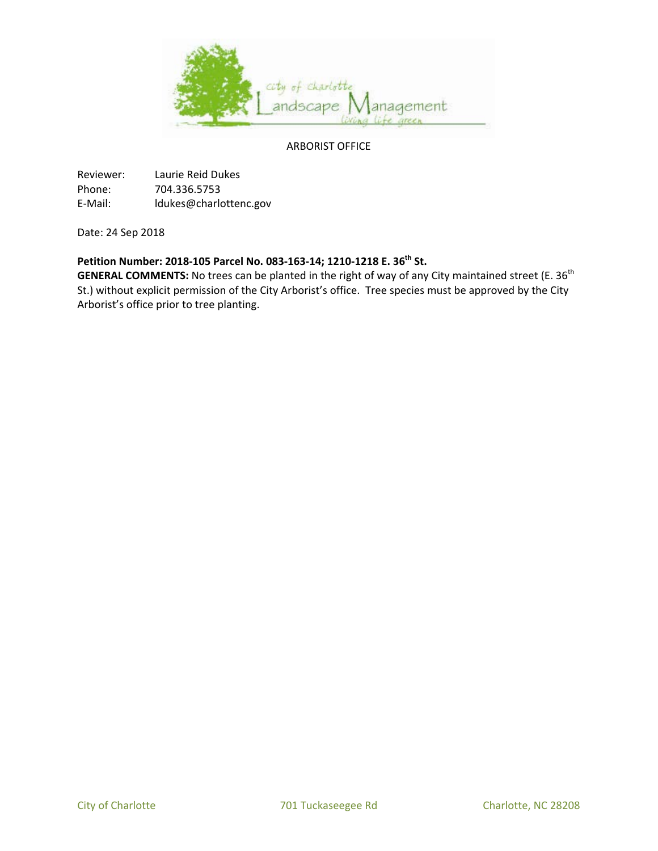

#### ARBORIST OFFICE

Reviewer: Laurie Reid Dukes Phone: 704.336.5753 E-Mail: ldukes@charlottenc.gov

Date: 24 Sep 2018

# **Petition Number: 2018-105 Parcel No. 083-163-14; 1210-1218 E. 36th St.**

GENERAL COMMENTS: No trees can be planted in the right of way of any City maintained street (E. 36<sup>th</sup> St.) without explicit permission of the City Arborist's office. Tree species must be approved by the City Arborist's office prior to tree planting.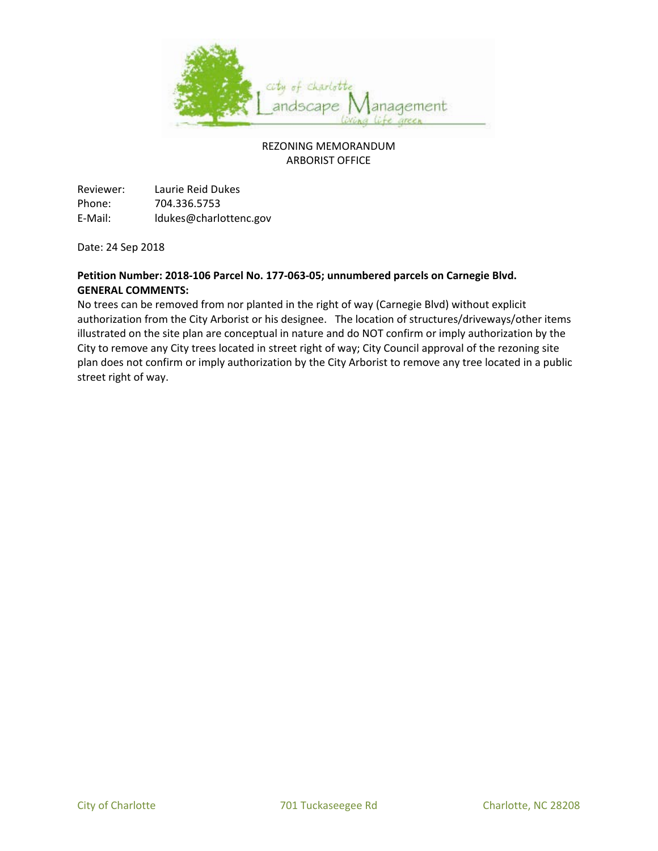

Reviewer: Laurie Reid Dukes Phone: 704.336.5753 E-Mail: ldukes@charlottenc.gov

Date: 24 Sep 2018

### **Petition Number: 2018-106 Parcel No. 177-063-05; unnumbered parcels on Carnegie Blvd. GENERAL COMMENTS:**

No trees can be removed from nor planted in the right of way (Carnegie Blvd) without explicit authorization from the City Arborist or his designee. The location of structures/driveways/other items illustrated on the site plan are conceptual in nature and do NOT confirm or imply authorization by the City to remove any City trees located in street right of way; City Council approval of the rezoning site plan does not confirm or imply authorization by the City Arborist to remove any tree located in a public street right of way.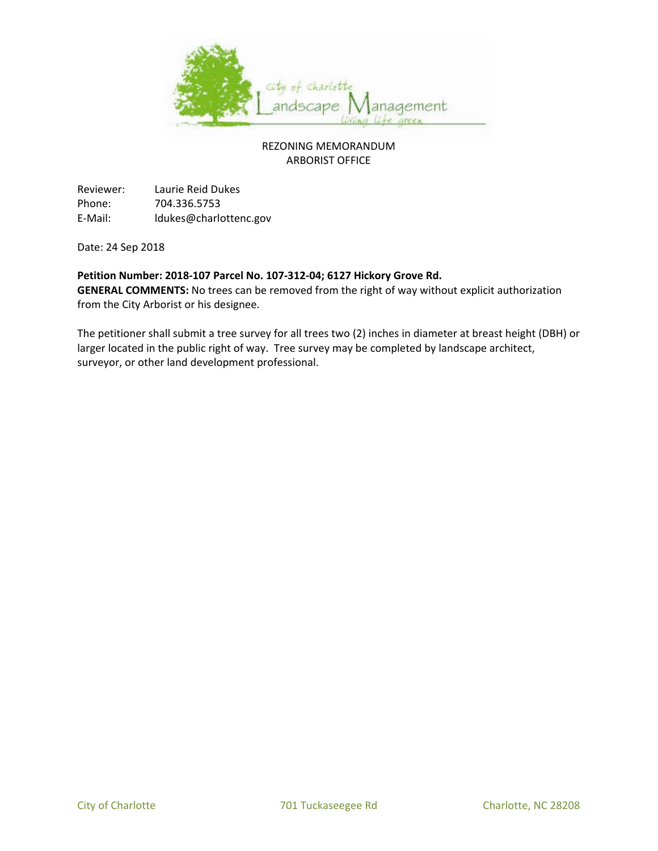

Reviewer: Laurie Reid Dukes Phone: 704.336.5753 E-Mail: ldukes@charlottenc.gov

Date: 24 Sep 2018

#### **Petition Number: 2018-107 Parcel No. 107-312-04; 6127 Hickory Grove Rd.**

**GENERAL COMMENTS:** No trees can be removed from the right of way without explicit authorization from the City Arborist or his designee.

The petitioner shall submit a tree survey for all trees two (2) inches in diameter at breast height (DBH) or larger located in the public right of way. Tree survey may be completed by landscape architect, surveyor, or other land development professional.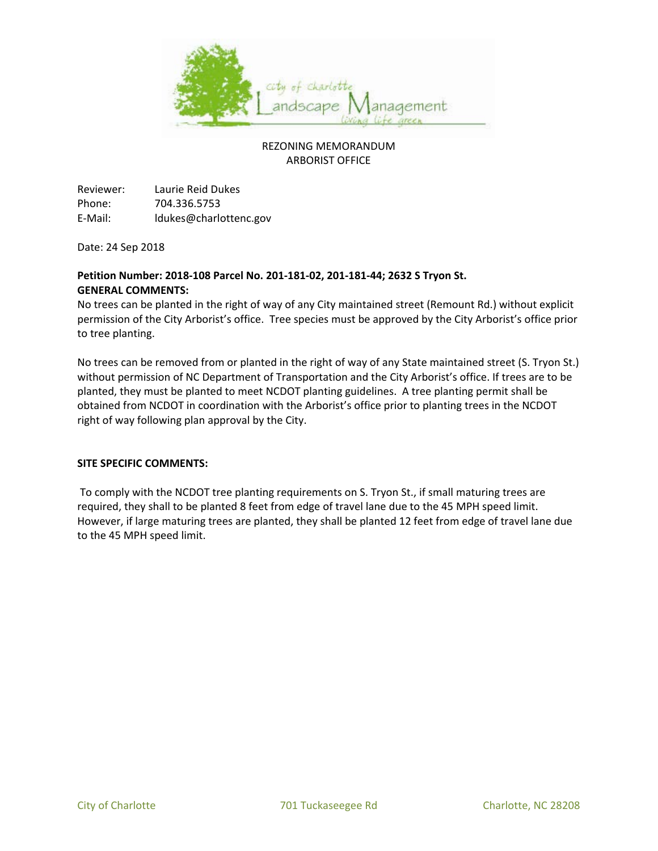

Reviewer: Laurie Reid Dukes Phone: 704.336.5753 E-Mail: ldukes@charlottenc.gov

Date: 24 Sep 2018

## **Petition Number: 2018-108 Parcel No. 201-181-02, 201-181-44; 2632 S Tryon St. GENERAL COMMENTS:**

No trees can be planted in the right of way of any City maintained street (Remount Rd.) without explicit permission of the City Arborist's office. Tree species must be approved by the City Arborist's office prior to tree planting.

No trees can be removed from or planted in the right of way of any State maintained street (S. Tryon St.) without permission of NC Department of Transportation and the City Arborist's office. If trees are to be planted, they must be planted to meet NCDOT planting guidelines. A tree planting permit shall be obtained from NCDOT in coordination with the Arborist's office prior to planting trees in the NCDOT right of way following plan approval by the City.

#### **SITE SPECIFIC COMMENTS:**

To comply with the NCDOT tree planting requirements on S. Tryon St., if small maturing trees are required, they shall to be planted 8 feet from edge of travel lane due to the 45 MPH speed limit. However, if large maturing trees are planted, they shall be planted 12 feet from edge of travel lane due to the 45 MPH speed limit.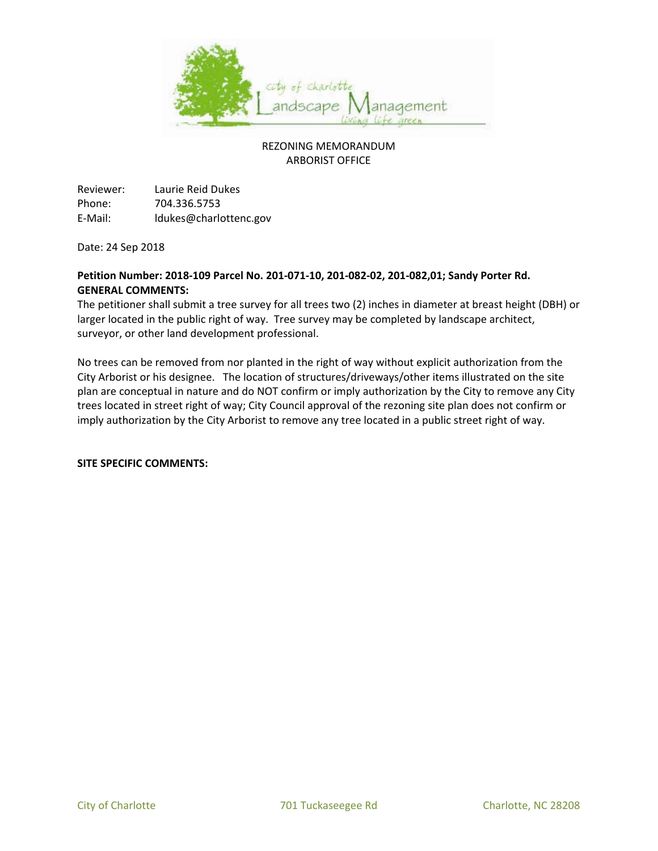

Reviewer: Laurie Reid Dukes Phone: 704.336.5753 E-Mail: ldukes@charlottenc.gov

Date: 24 Sep 2018

### **Petition Number: 2018-109 Parcel No. 201-071-10, 201-082-02, 201-082,01; Sandy Porter Rd. GENERAL COMMENTS:**

The petitioner shall submit a tree survey for all trees two (2) inches in diameter at breast height (DBH) or larger located in the public right of way. Tree survey may be completed by landscape architect, surveyor, or other land development professional.

No trees can be removed from nor planted in the right of way without explicit authorization from the City Arborist or his designee. The location of structures/driveways/other items illustrated on the site plan are conceptual in nature and do NOT confirm or imply authorization by the City to remove any City trees located in street right of way; City Council approval of the rezoning site plan does not confirm or imply authorization by the City Arborist to remove any tree located in a public street right of way.

**SITE SPECIFIC COMMENTS:**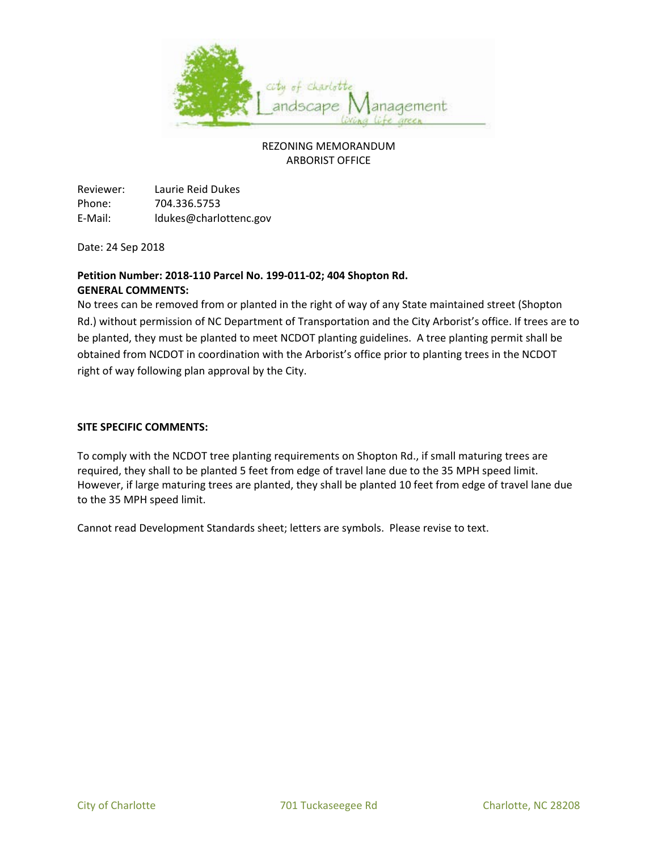

Reviewer: Laurie Reid Dukes Phone: 704.336.5753 E-Mail: ldukes@charlottenc.gov

Date: 24 Sep 2018

## **Petition Number: 2018-110 Parcel No. 199-011-02; 404 Shopton Rd. GENERAL COMMENTS:**

No trees can be removed from or planted in the right of way of any State maintained street (Shopton Rd.) without permission of NC Department of Transportation and the City Arborist's office. If trees are to be planted, they must be planted to meet NCDOT planting guidelines. A tree planting permit shall be obtained from NCDOT in coordination with the Arborist's office prior to planting trees in the NCDOT right of way following plan approval by the City.

#### **SITE SPECIFIC COMMENTS:**

To comply with the NCDOT tree planting requirements on Shopton Rd., if small maturing trees are required, they shall to be planted 5 feet from edge of travel lane due to the 35 MPH speed limit. However, if large maturing trees are planted, they shall be planted 10 feet from edge of travel lane due to the 35 MPH speed limit.

Cannot read Development Standards sheet; letters are symbols. Please revise to text.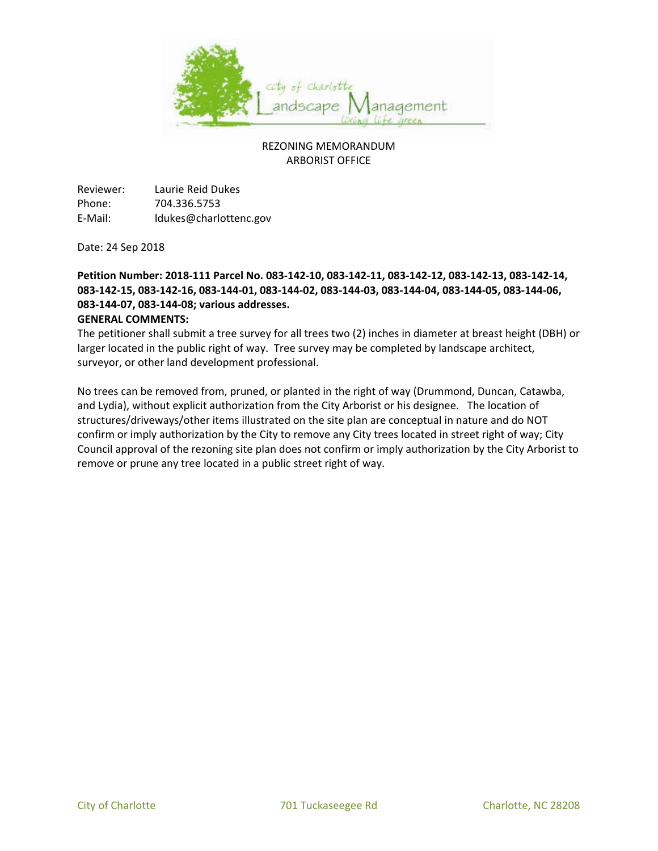

Reviewer: Laurie Reid Dukes Phone: 704.336.5753 E-Mail: ldukes@charlottenc.gov

Date: 24 Sep 2018

# **Petition Number: 2018-111 Parcel No. 083-142-10, 083-142-11, 083-142-12, 083-142-13, 083-142-14, 083-142-15, 083-142-16, 083-144-01, 083-144-02, 083-144-03, 083-144-04, 083-144-05, 083-144-06, 083-144-07, 083-144-08; various addresses.**

### **GENERAL COMMENTS:**

The petitioner shall submit a tree survey for all trees two (2) inches in diameter at breast height (DBH) or larger located in the public right of way. Tree survey may be completed by landscape architect, surveyor, or other land development professional.

No trees can be removed from, pruned, or planted in the right of way (Drummond, Duncan, Catawba, and Lydia), without explicit authorization from the City Arborist or his designee. The location of structures/driveways/other items illustrated on the site plan are conceptual in nature and do NOT confirm or imply authorization by the City to remove any City trees located in street right of way; City Council approval of the rezoning site plan does not confirm or imply authorization by the City Arborist to remove or prune any tree located in a public street right of way.